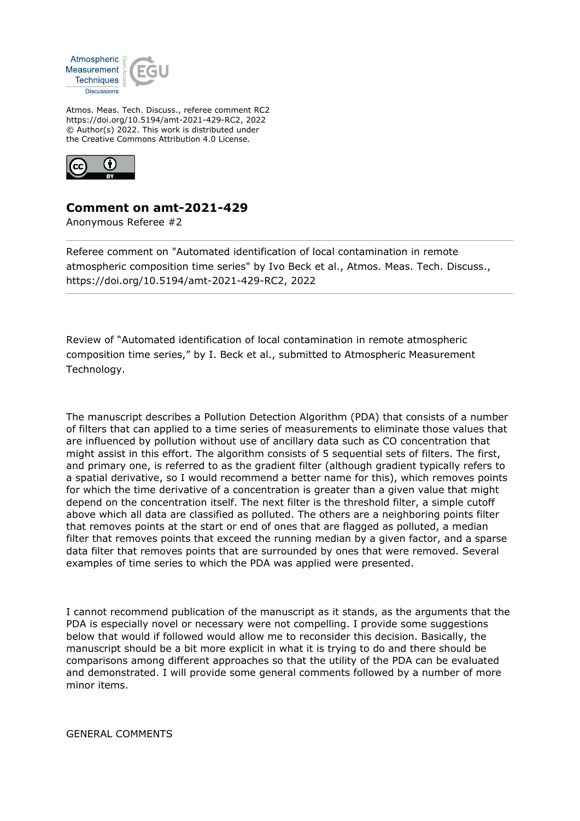

Atmos. Meas. Tech. Discuss., referee comment RC2 https://doi.org/10.5194/amt-2021-429-RC2, 2022 © Author(s) 2022. This work is distributed under the Creative Commons Attribution 4.0 License.



## **Comment on amt-2021-429**

Anonymous Referee #2

Referee comment on "Automated identification of local contamination in remote atmospheric composition time series" by Ivo Beck et al., Atmos. Meas. Tech. Discuss., https://doi.org/10.5194/amt-2021-429-RC2, 2022

Review of "Automated identification of local contamination in remote atmospheric composition time series," by I. Beck et al., submitted to Atmospheric Measurement Technology.

The manuscript describes a Pollution Detection Algorithm (PDA) that consists of a number of filters that can applied to a time series of measurements to eliminate those values that are influenced by pollution without use of ancillary data such as CO concentration that might assist in this effort. The algorithm consists of 5 sequential sets of filters. The first, and primary one, is referred to as the gradient filter (although gradient typically refers to a spatial derivative, so I would recommend a better name for this), which removes points for which the time derivative of a concentration is greater than a given value that might depend on the concentration itself. The next filter is the threshold filter, a simple cutoff above which all data are classified as polluted. The others are a neighboring points filter that removes points at the start or end of ones that are flagged as polluted, a median filter that removes points that exceed the running median by a given factor, and a sparse data filter that removes points that are surrounded by ones that were removed. Several examples of time series to which the PDA was applied were presented.

I cannot recommend publication of the manuscript as it stands, as the arguments that the PDA is especially novel or necessary were not compelling. I provide some suggestions below that would if followed would allow me to reconsider this decision. Basically, the manuscript should be a bit more explicit in what it is trying to do and there should be comparisons among different approaches so that the utility of the PDA can be evaluated and demonstrated. I will provide some general comments followed by a number of more minor items.

GENERAL COMMENTS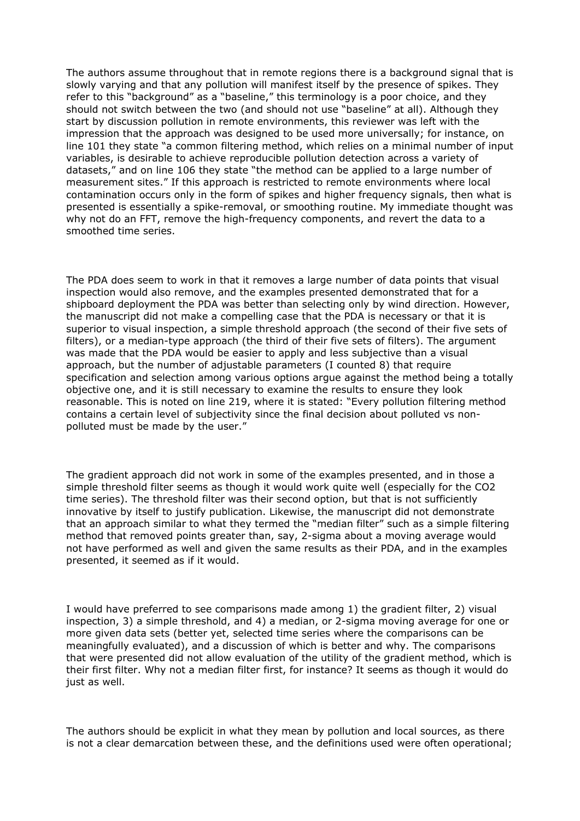The authors assume throughout that in remote regions there is a background signal that is slowly varying and that any pollution will manifest itself by the presence of spikes. They refer to this "background" as a "baseline," this terminology is a poor choice, and they should not switch between the two (and should not use "baseline" at all). Although they start by discussion pollution in remote environments, this reviewer was left with the impression that the approach was designed to be used more universally; for instance, on line 101 they state "a common filtering method, which relies on a minimal number of input variables, is desirable to achieve reproducible pollution detection across a variety of datasets," and on line 106 they state "the method can be applied to a large number of measurement sites." If this approach is restricted to remote environments where local contamination occurs only in the form of spikes and higher frequency signals, then what is presented is essentially a spike-removal, or smoothing routine. My immediate thought was why not do an FFT, remove the high-frequency components, and revert the data to a smoothed time series.

The PDA does seem to work in that it removes a large number of data points that visual inspection would also remove, and the examples presented demonstrated that for a shipboard deployment the PDA was better than selecting only by wind direction. However, the manuscript did not make a compelling case that the PDA is necessary or that it is superior to visual inspection, a simple threshold approach (the second of their five sets of filters), or a median-type approach (the third of their five sets of filters). The argument was made that the PDA would be easier to apply and less subjective than a visual approach, but the number of adjustable parameters (I counted 8) that require specification and selection among various options argue against the method being a totally objective one, and it is still necessary to examine the results to ensure they look reasonable. This is noted on line 219, where it is stated: "Every pollution filtering method contains a certain level of subjectivity since the final decision about polluted vs nonpolluted must be made by the user."

The gradient approach did not work in some of the examples presented, and in those a simple threshold filter seems as though it would work quite well (especially for the CO2 time series). The threshold filter was their second option, but that is not sufficiently innovative by itself to justify publication. Likewise, the manuscript did not demonstrate that an approach similar to what they termed the "median filter" such as a simple filtering method that removed points greater than, say, 2-sigma about a moving average would not have performed as well and given the same results as their PDA, and in the examples presented, it seemed as if it would.

I would have preferred to see comparisons made among 1) the gradient filter, 2) visual inspection, 3) a simple threshold, and 4) a median, or 2-sigma moving average for one or more given data sets (better yet, selected time series where the comparisons can be meaningfully evaluated), and a discussion of which is better and why. The comparisons that were presented did not allow evaluation of the utility of the gradient method, which is their first filter. Why not a median filter first, for instance? It seems as though it would do just as well.

The authors should be explicit in what they mean by pollution and local sources, as there is not a clear demarcation between these, and the definitions used were often operational;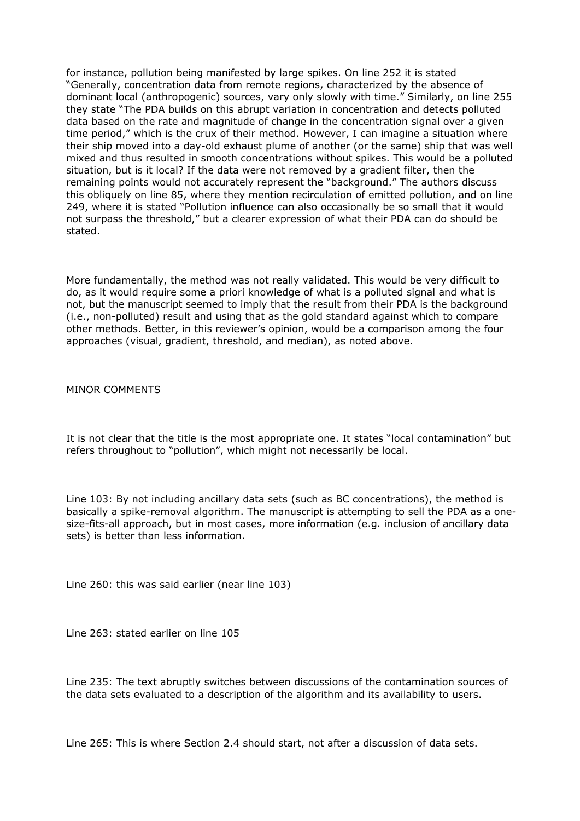for instance, pollution being manifested by large spikes. On line 252 it is stated "Generally, concentration data from remote regions, characterized by the absence of dominant local (anthropogenic) sources, vary only slowly with time." Similarly, on line 255 they state "The PDA builds on this abrupt variation in concentration and detects polluted data based on the rate and magnitude of change in the concentration signal over a given time period," which is the crux of their method. However, I can imagine a situation where their ship moved into a day-old exhaust plume of another (or the same) ship that was well mixed and thus resulted in smooth concentrations without spikes. This would be a polluted situation, but is it local? If the data were not removed by a gradient filter, then the remaining points would not accurately represent the "background." The authors discuss this obliquely on line 85, where they mention recirculation of emitted pollution, and on line 249, where it is stated "Pollution influence can also occasionally be so small that it would not surpass the threshold," but a clearer expression of what their PDA can do should be stated.

More fundamentally, the method was not really validated. This would be very difficult to do, as it would require some a priori knowledge of what is a polluted signal and what is not, but the manuscript seemed to imply that the result from their PDA is the background (i.e., non-polluted) result and using that as the gold standard against which to compare other methods. Better, in this reviewer's opinion, would be a comparison among the four approaches (visual, gradient, threshold, and median), as noted above.

## MINOR COMMENTS

It is not clear that the title is the most appropriate one. It states "local contamination" but refers throughout to "pollution", which might not necessarily be local.

Line 103: By not including ancillary data sets (such as BC concentrations), the method is basically a spike-removal algorithm. The manuscript is attempting to sell the PDA as a onesize-fits-all approach, but in most cases, more information (e.g. inclusion of ancillary data sets) is better than less information.

Line 260: this was said earlier (near line 103)

Line 263: stated earlier on line 105

Line 235: The text abruptly switches between discussions of the contamination sources of the data sets evaluated to a description of the algorithm and its availability to users.

Line 265: This is where Section 2.4 should start, not after a discussion of data sets.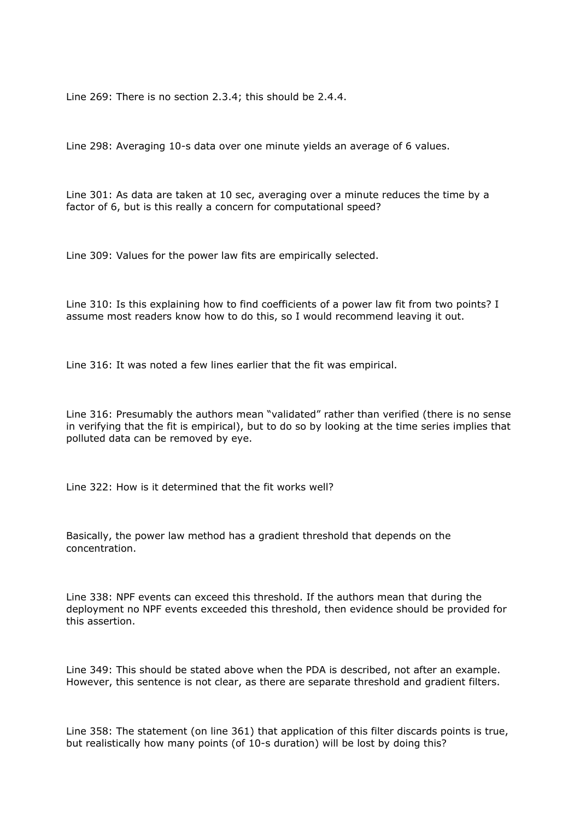Line 269: There is no section 2.3.4; this should be 2.4.4.

Line 298: Averaging 10-s data over one minute yields an average of 6 values.

Line 301: As data are taken at 10 sec, averaging over a minute reduces the time by a factor of 6, but is this really a concern for computational speed?

Line 309: Values for the power law fits are empirically selected.

Line 310: Is this explaining how to find coefficients of a power law fit from two points? I assume most readers know how to do this, so I would recommend leaving it out.

Line 316: It was noted a few lines earlier that the fit was empirical.

Line 316: Presumably the authors mean "validated" rather than verified (there is no sense in verifying that the fit is empirical), but to do so by looking at the time series implies that polluted data can be removed by eye.

Line 322: How is it determined that the fit works well?

Basically, the power law method has a gradient threshold that depends on the concentration.

Line 338: NPF events can exceed this threshold. If the authors mean that during the deployment no NPF events exceeded this threshold, then evidence should be provided for this assertion.

Line 349: This should be stated above when the PDA is described, not after an example. However, this sentence is not clear, as there are separate threshold and gradient filters.

Line 358: The statement (on line 361) that application of this filter discards points is true, but realistically how many points (of 10-s duration) will be lost by doing this?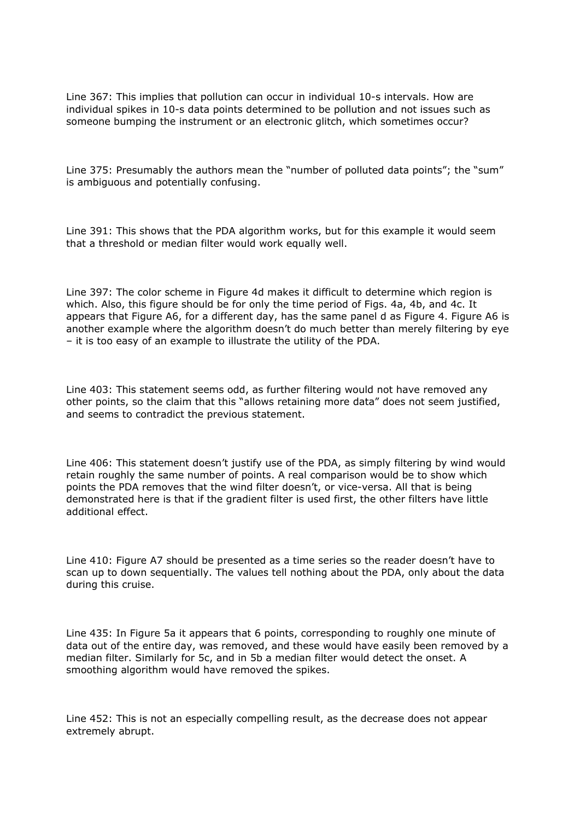Line 367: This implies that pollution can occur in individual 10-s intervals. How are individual spikes in 10-s data points determined to be pollution and not issues such as someone bumping the instrument or an electronic glitch, which sometimes occur?

Line 375: Presumably the authors mean the "number of polluted data points"; the "sum" is ambiguous and potentially confusing.

Line 391: This shows that the PDA algorithm works, but for this example it would seem that a threshold or median filter would work equally well.

Line 397: The color scheme in Figure 4d makes it difficult to determine which region is which. Also, this figure should be for only the time period of Figs. 4a, 4b, and 4c. It appears that Figure A6, for a different day, has the same panel d as Figure 4. Figure A6 is another example where the algorithm doesn't do much better than merely filtering by eye – it is too easy of an example to illustrate the utility of the PDA.

Line 403: This statement seems odd, as further filtering would not have removed any other points, so the claim that this "allows retaining more data" does not seem justified, and seems to contradict the previous statement.

Line 406: This statement doesn't justify use of the PDA, as simply filtering by wind would retain roughly the same number of points. A real comparison would be to show which points the PDA removes that the wind filter doesn't, or vice-versa. All that is being demonstrated here is that if the gradient filter is used first, the other filters have little additional effect.

Line 410: Figure A7 should be presented as a time series so the reader doesn't have to scan up to down sequentially. The values tell nothing about the PDA, only about the data during this cruise.

Line 435: In Figure 5a it appears that 6 points, corresponding to roughly one minute of data out of the entire day, was removed, and these would have easily been removed by a median filter. Similarly for 5c, and in 5b a median filter would detect the onset. A smoothing algorithm would have removed the spikes.

Line 452: This is not an especially compelling result, as the decrease does not appear extremely abrupt.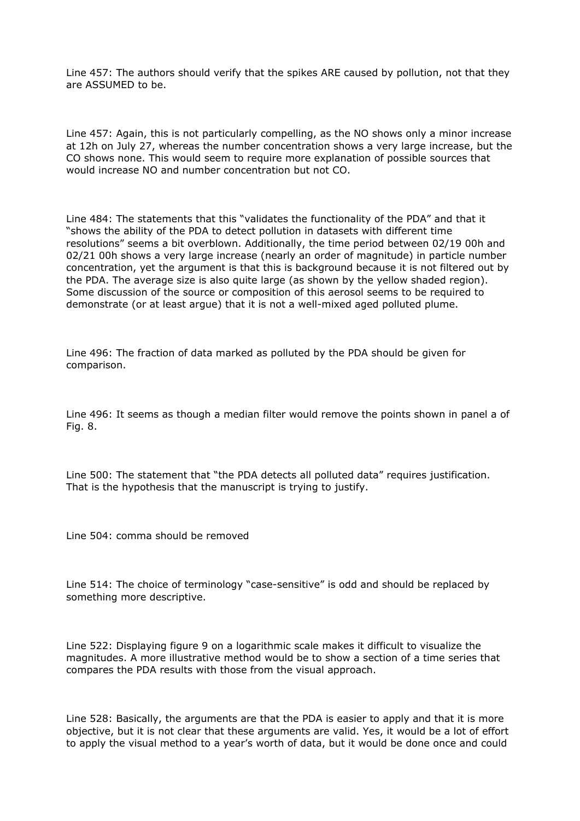Line 457: The authors should verify that the spikes ARE caused by pollution, not that they are ASSUMED to be.

Line 457: Again, this is not particularly compelling, as the NO shows only a minor increase at 12h on July 27, whereas the number concentration shows a very large increase, but the CO shows none. This would seem to require more explanation of possible sources that would increase NO and number concentration but not CO.

Line 484: The statements that this "validates the functionality of the PDA" and that it "shows the ability of the PDA to detect pollution in datasets with different time resolutions" seems a bit overblown. Additionally, the time period between 02/19 00h and 02/21 00h shows a very large increase (nearly an order of magnitude) in particle number concentration, yet the argument is that this is background because it is not filtered out by the PDA. The average size is also quite large (as shown by the yellow shaded region). Some discussion of the source or composition of this aerosol seems to be required to demonstrate (or at least argue) that it is not a well-mixed aged polluted plume.

Line 496: The fraction of data marked as polluted by the PDA should be given for comparison.

Line 496: It seems as though a median filter would remove the points shown in panel a of Fig. 8.

Line 500: The statement that "the PDA detects all polluted data" requires justification. That is the hypothesis that the manuscript is trying to justify.

Line 504: comma should be removed

Line 514: The choice of terminology "case-sensitive" is odd and should be replaced by something more descriptive.

Line 522: Displaying figure 9 on a logarithmic scale makes it difficult to visualize the magnitudes. A more illustrative method would be to show a section of a time series that compares the PDA results with those from the visual approach.

Line 528: Basically, the arguments are that the PDA is easier to apply and that it is more objective, but it is not clear that these arguments are valid. Yes, it would be a lot of effort to apply the visual method to a year's worth of data, but it would be done once and could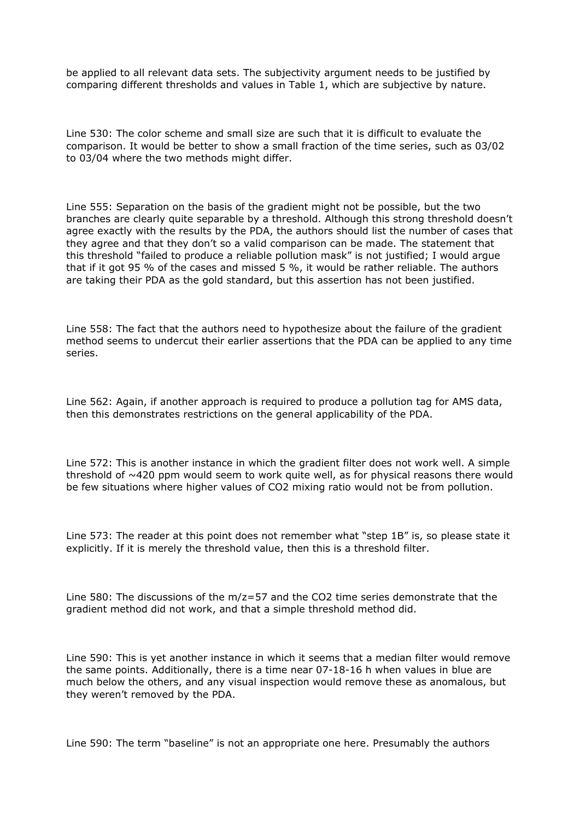be applied to all relevant data sets. The subjectivity argument needs to be justified by comparing different thresholds and values in Table 1, which are subjective by nature.

Line 530: The color scheme and small size are such that it is difficult to evaluate the comparison. It would be better to show a small fraction of the time series, such as 03/02 to 03/04 where the two methods might differ.

Line 555: Separation on the basis of the gradient might not be possible, but the two branches are clearly quite separable by a threshold. Although this strong threshold doesn't agree exactly with the results by the PDA, the authors should list the number of cases that they agree and that they don't so a valid comparison can be made. The statement that this threshold "failed to produce a reliable pollution mask" is not justified; I would argue that if it got 95 % of the cases and missed 5 %, it would be rather reliable. The authors are taking their PDA as the gold standard, but this assertion has not been justified.

Line 558: The fact that the authors need to hypothesize about the failure of the gradient method seems to undercut their earlier assertions that the PDA can be applied to any time series.

Line 562: Again, if another approach is required to produce a pollution tag for AMS data, then this demonstrates restrictions on the general applicability of the PDA.

Line 572: This is another instance in which the gradient filter does not work well. A simple threshold of  $\sim$ 420 ppm would seem to work quite well, as for physical reasons there would be few situations where higher values of CO2 mixing ratio would not be from pollution.

Line 573: The reader at this point does not remember what "step 1B" is, so please state it explicitly. If it is merely the threshold value, then this is a threshold filter.

Line 580: The discussions of the  $m/z = 57$  and the CO2 time series demonstrate that the gradient method did not work, and that a simple threshold method did.

Line 590: This is yet another instance in which it seems that a median filter would remove the same points. Additionally, there is a time near 07-18-16 h when values in blue are much below the others, and any visual inspection would remove these as anomalous, but they weren't removed by the PDA.

Line 590: The term "baseline" is not an appropriate one here. Presumably the authors